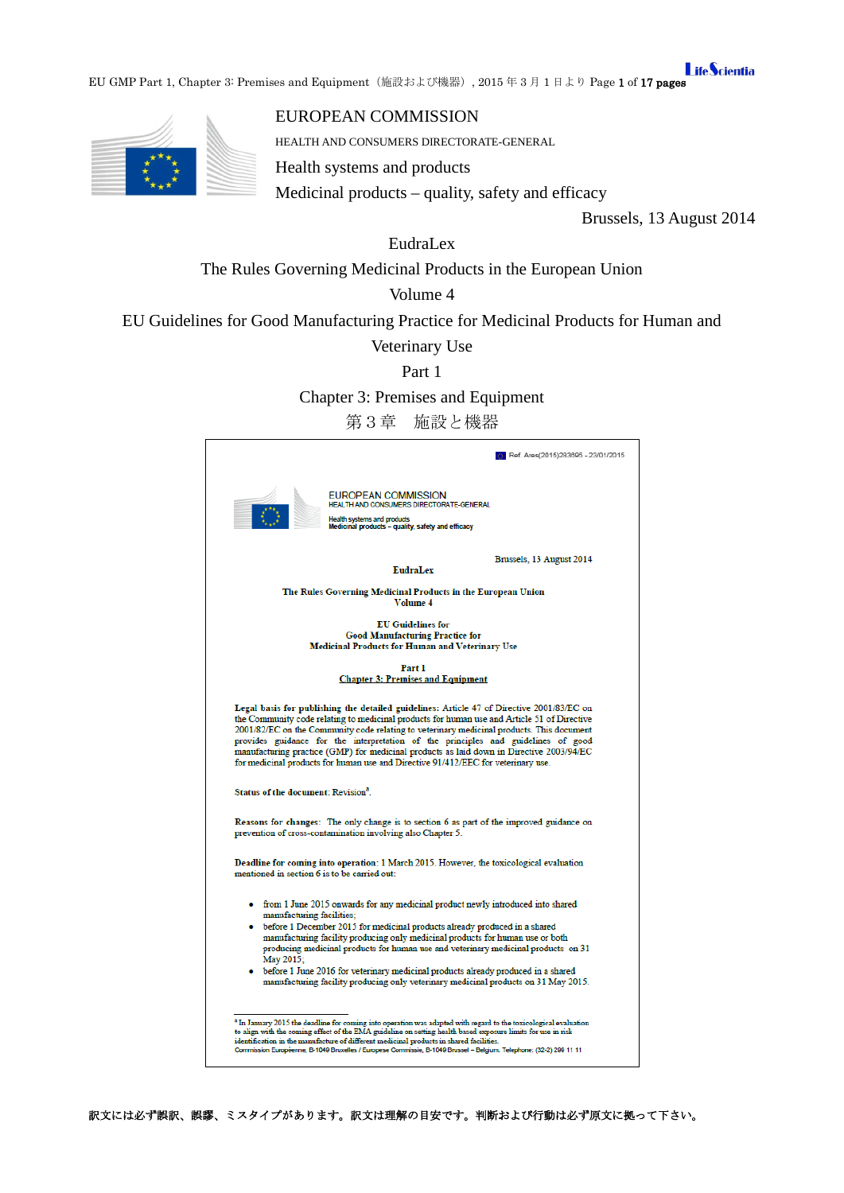**LifeScientia** EU GMP Part 1, Chapter 3: Premises and Equipment(施設および機器), 2015 年 3 月 1 日より Page 1 of 17 pages



# EUROPEAN COMMISSION

HEALTH AND CONSUMERS DIRECTORATE-GENERAL

Health systems and products

Medicinal products – quality, safety and efficacy

Brussels, 13 August 2014

EudraLex

The Rules Governing Medicinal Products in the European Union

# Volume 4

EU Guidelines for Good Manufacturing Practice for Medicinal Products for Human and

Veterinary Use

Part 1

Chapter 3: Premises and Equipment

第3章 施設と機器

|                                                                                                                                                                                                                                                                                                                                                                                                                                                                                                                                                                   | Ref. Ares(2015)283695 - 23/01/2015 |
|-------------------------------------------------------------------------------------------------------------------------------------------------------------------------------------------------------------------------------------------------------------------------------------------------------------------------------------------------------------------------------------------------------------------------------------------------------------------------------------------------------------------------------------------------------------------|------------------------------------|
| EUROPEAN COMMISSION<br>HEALTH AND CONSUMERS DIRECTORATE-GENERAL<br>Health systems and products<br>Medicinal products - quality, safety and efficacy                                                                                                                                                                                                                                                                                                                                                                                                               |                                    |
| <b>EudraLex</b>                                                                                                                                                                                                                                                                                                                                                                                                                                                                                                                                                   | Brussels, 13 August 2014           |
| The Rules Governing Medicinal Products in the European Union<br>Volume 4                                                                                                                                                                                                                                                                                                                                                                                                                                                                                          |                                    |
| <b>EU</b> Guidelines for<br><b>Good Manufacturing Practice for</b><br><b>Medicinal Products for Human and Veterinary Use</b>                                                                                                                                                                                                                                                                                                                                                                                                                                      |                                    |
| Part 1<br><b>Chapter 3: Premises and Equipment</b>                                                                                                                                                                                                                                                                                                                                                                                                                                                                                                                |                                    |
| Legal basis for publishing the detailed guidelines: Article 47 of Directive 2001/83/EC on<br>the Community code relating to medicinal products for human use and Article 51 of Directive<br>2001/82/EC on the Community code relating to veterinary medicinal products. This document<br>provides guidance for the interpretation of the principles and guidelines of good<br>manufacturing practice (GMP) for medicinal products as laid down in Directive 2003/94/EC<br>for medicinal products for human use and Directive 91/412/EEC for veterinary use.       |                                    |
| Status of the document: Revision <sup>a</sup> .                                                                                                                                                                                                                                                                                                                                                                                                                                                                                                                   |                                    |
| Reasons for changes: The only change is to section 6 as part of the improved guidance on<br>prevention of cross-contamination involving also Chapter 5.                                                                                                                                                                                                                                                                                                                                                                                                           |                                    |
| Deadline for coming into operation: 1 March 2015. However, the toxicological evaluation<br>mentioned in section 6 is to be carried out:                                                                                                                                                                                                                                                                                                                                                                                                                           |                                    |
| • from 1 June 2015 onwards for any medicinal product newly introduced into shared<br>manufacturing facilities;<br>• before 1 December 2015 for medicinal products already produced in a shared<br>manufacturing facility producing only medicinal products for human use or both<br>producing medicinal products for human use and veterinary medicinal products on 31<br>May 2015;<br>• before 1 June 2016 for veterinary medicinal products already produced in a shared<br>manufacturing facility producing only veterinary medicinal products on 31 May 2015. |                                    |
| <sup>*</sup> In January 2015 the deadline for coming into operation was adapted with regard to the toxicological evaluation<br>to align with the coming effect of the EMA guideline on setting health based exposure limits for use in risk<br>identification in the manufacture of different medicinal products in shared facilities.<br>Commission Européenne, B-1049 Bruxelles / Europese Commissie, B-1049 Brussel - Belgium. Telephone: (32-2) 299 11 11                                                                                                     |                                    |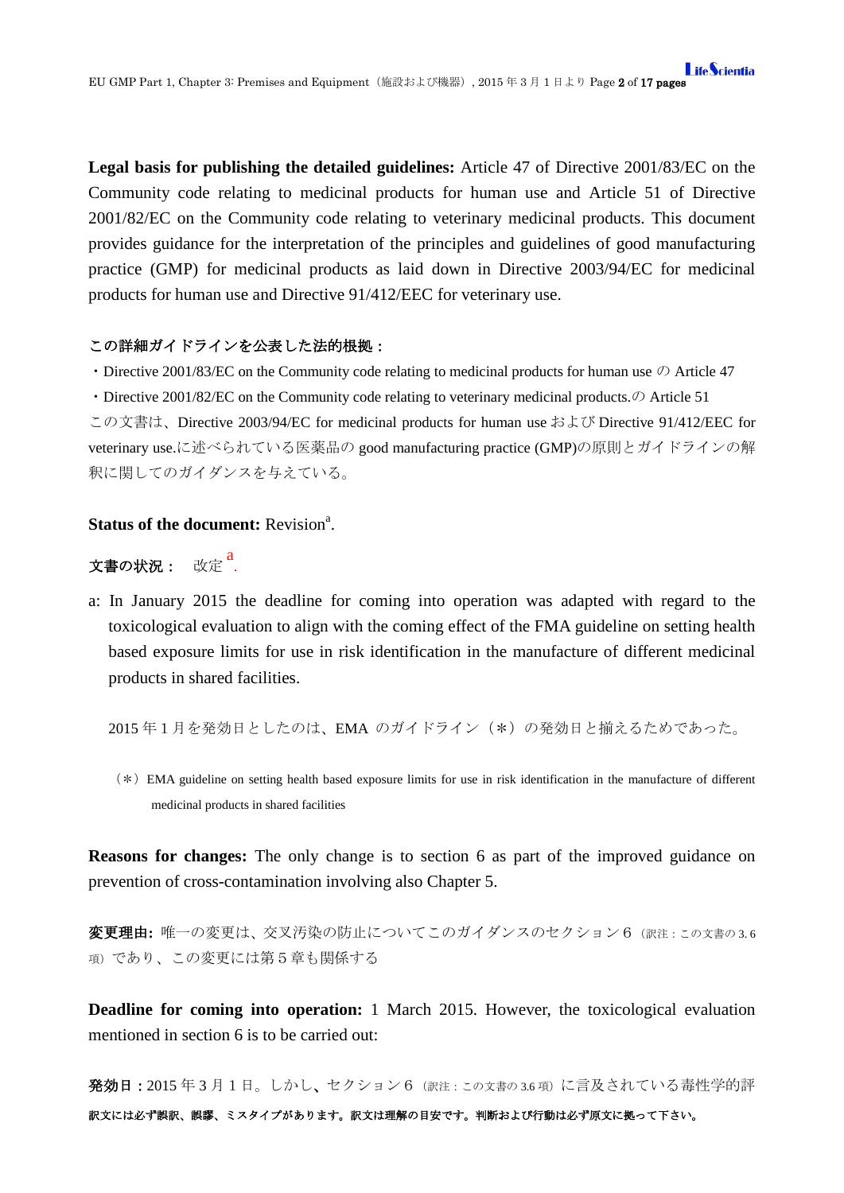**Legal basis for publishing the detailed guidelines:** Article 47 of Directive 2001/83/EC on the Community code relating to medicinal products for human use and Article 51 of Directive 2001/82/EC on the Community code relating to veterinary medicinal products. This document provides guidance for the interpretation of the principles and guidelines of good manufacturing practice (GMP) for medicinal products as laid down in Directive 2003/94/EC for medicinal products for human use and Directive 91/412/EEC for veterinary use.

### この詳細ガイドラインを公表した法的根拠:

・Directive 2001/83/EC on the Community code relating to medicinal products for human use の Article 47

• Directive 2001/82/EC on the Community code relating to veterinary medicinal products.  $\mathcal{D}$  Article 51 この文書は、Directive 2003/94/EC for medicinal products for human use および Directive 91/412/EEC for veterinary use.に述べられている医薬品の good manufacturing practice (GMP)の原則とガイドラインの解 釈に関してのガイダンスを与えている。

# **Status of the document:** Revision<sup>a</sup>.

文書の状況: 改定 <sup>a</sup>.

a: In January 2015 the deadline for coming into operation was adapted with regard to the toxicological evaluation to align with the coming effect of the FMA guideline on setting health based exposure limits for use in risk identification in the manufacture of different medicinal products in shared facilities.

2015年1月を発効日としたのは、EMA のガイドライン (\*)の発効日と揃えるためであった。

(\*)EMA guideline on setting health based exposure limits for use in risk identification in the manufacture of different medicinal products in shared facilities

**Reasons for changes:** The only change is to section 6 as part of the improved guidance on prevention of cross-contamination involving also Chapter 5.

変更理由**:** 唯一の変更は、交叉汚染の防止についてこのガイダンスのセクション6(訳注:この文書の 3. <sup>6</sup> 項)であり、この変更には第5章も関係する

**Deadline for coming into operation:** 1 March 2015. However, the toxicological evaluation mentioned in section 6 is to be carried out:

訳文には必ず誤訳、誤謬、ミスタイプがあります。訳文は理解の目安です。判断および行動は必ず原文に拠って下さい。 発効日:2015 年 3 月1日。しかし、セクション6(訳注:この文書の 3.6 項)に言及されている毒性学的評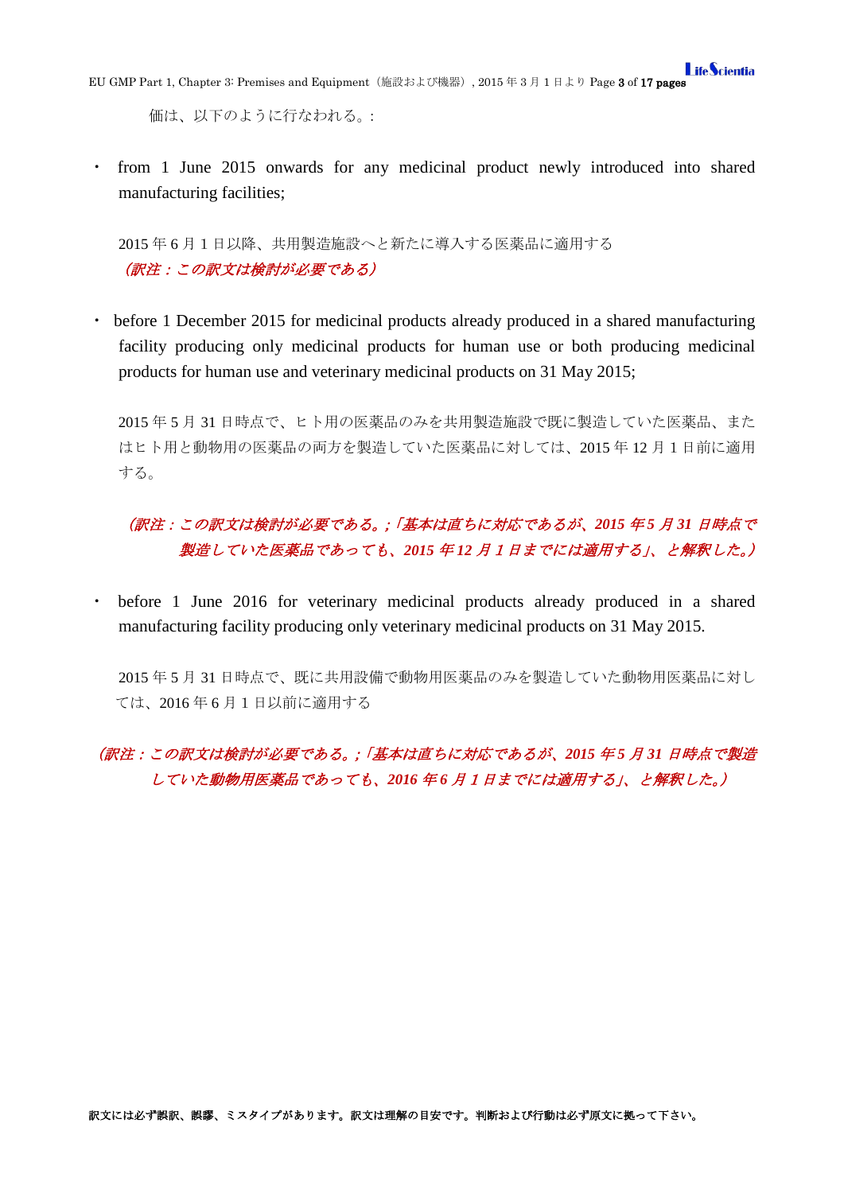価は、以下のように行なわれる。:

・ from 1 June 2015 onwards for any medicinal product newly introduced into shared manufacturing facilities;

2015 年 6 月1日以降、共用製造施設へと新たに導入する医薬品に適用する (訳注:この訳文は検討が必要である)

・ before 1 December 2015 for medicinal products already produced in a shared manufacturing facility producing only medicinal products for human use or both producing medicinal products for human use and veterinary medicinal products on 31 May 2015;

2015 年 5 月 31 日時点で、ヒト用の医薬品のみを共用製造施設で既に製造していた医薬品、また はヒト用と動物用の医薬品の両方を製造していた医薬品に対しては、2015 年 12 月1日前に適用 する。

# (訳注:この訳文は検討が必要である。;「基本は直ちに対応であるが、*2015* 年 *5* 月 *31* 日時点で 製造していた医薬品であっても、*2015* 年 *12* 月1日までには適用する」、と解釈した。)

・ before 1 June 2016 for veterinary medicinal products already produced in a shared manufacturing facility producing only veterinary medicinal products on 31 May 2015.

2015 年 5 月 31 日時点で、既に共用設備で動物用医薬品のみを製造していた動物用医薬品に対し ては、2016 年 6 月1日以前に適用する

# (訳注:この訳文は検討が必要である。;「基本は直ちに対応であるが、*2015* 年 *5* 月 *31* 日時点で製造 していた動物用医薬品であっても、*2016* 年 *6* 月1日までには適用する」、と解釈した。)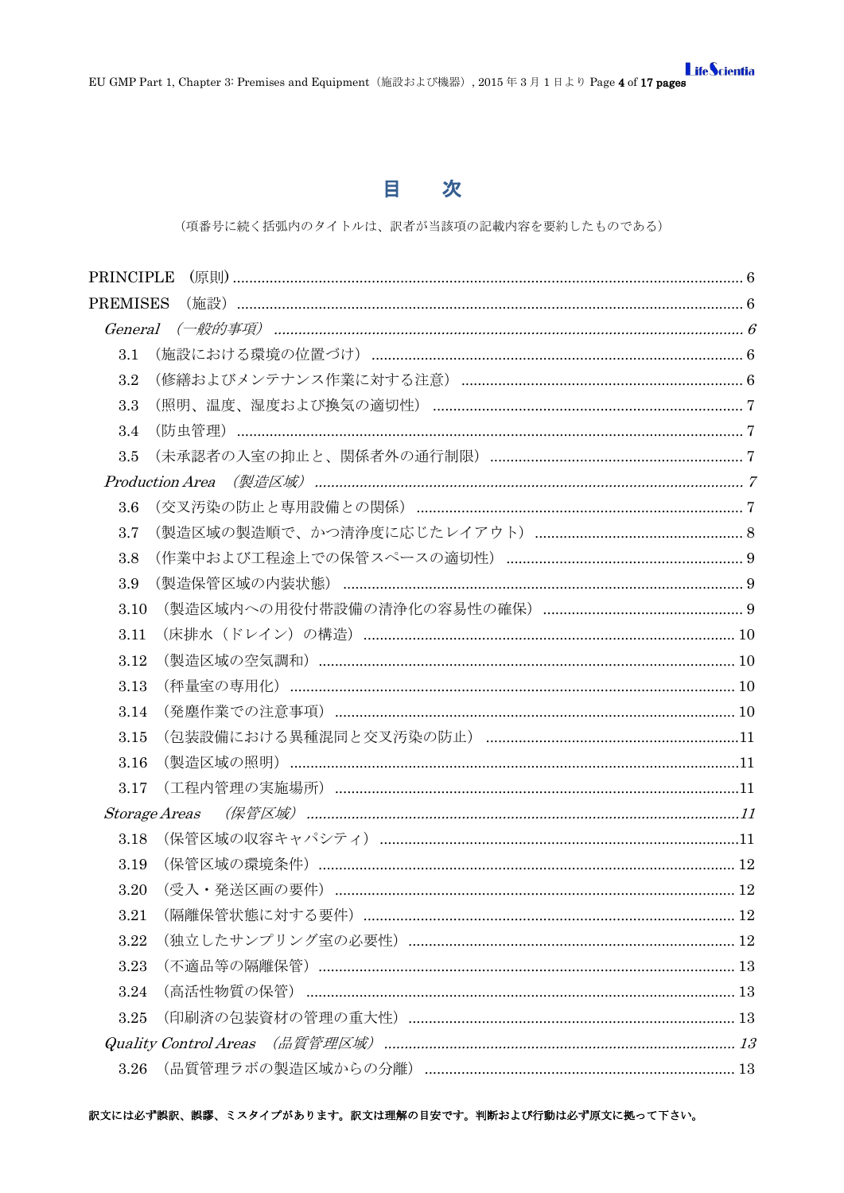# 目次

(項番号に続く括弧内のタイトルは、訳者が当該項の記載内容を要約したものである)

| <b>PREMISES</b> |                                                 |  |
|-----------------|-------------------------------------------------|--|
|                 |                                                 |  |
| 3.1             |                                                 |  |
| 3.2             |                                                 |  |
| 3.3             |                                                 |  |
| 3.4             |                                                 |  |
| 3.5             |                                                 |  |
|                 |                                                 |  |
| 3.6             |                                                 |  |
| 3.7             |                                                 |  |
| 3.8             |                                                 |  |
| 3.9             |                                                 |  |
| 3.10            |                                                 |  |
| 3.11            |                                                 |  |
| 3.12            |                                                 |  |
| 3.13            |                                                 |  |
| 3.14            |                                                 |  |
| 3.15            |                                                 |  |
| 3.16            |                                                 |  |
| 3.17            | (工程内管理の実施場所) ……………………………………………………………………………………11 |  |
|                 | <i><b>Storage Areas</b></i>                     |  |
| 3.18            |                                                 |  |
| 3.19            |                                                 |  |
| 3.20            |                                                 |  |
| 3.21            |                                                 |  |
| 3.22            |                                                 |  |
| 3.23            |                                                 |  |
| 3.24            |                                                 |  |
| 3.25            |                                                 |  |
|                 |                                                 |  |
| 3.26            |                                                 |  |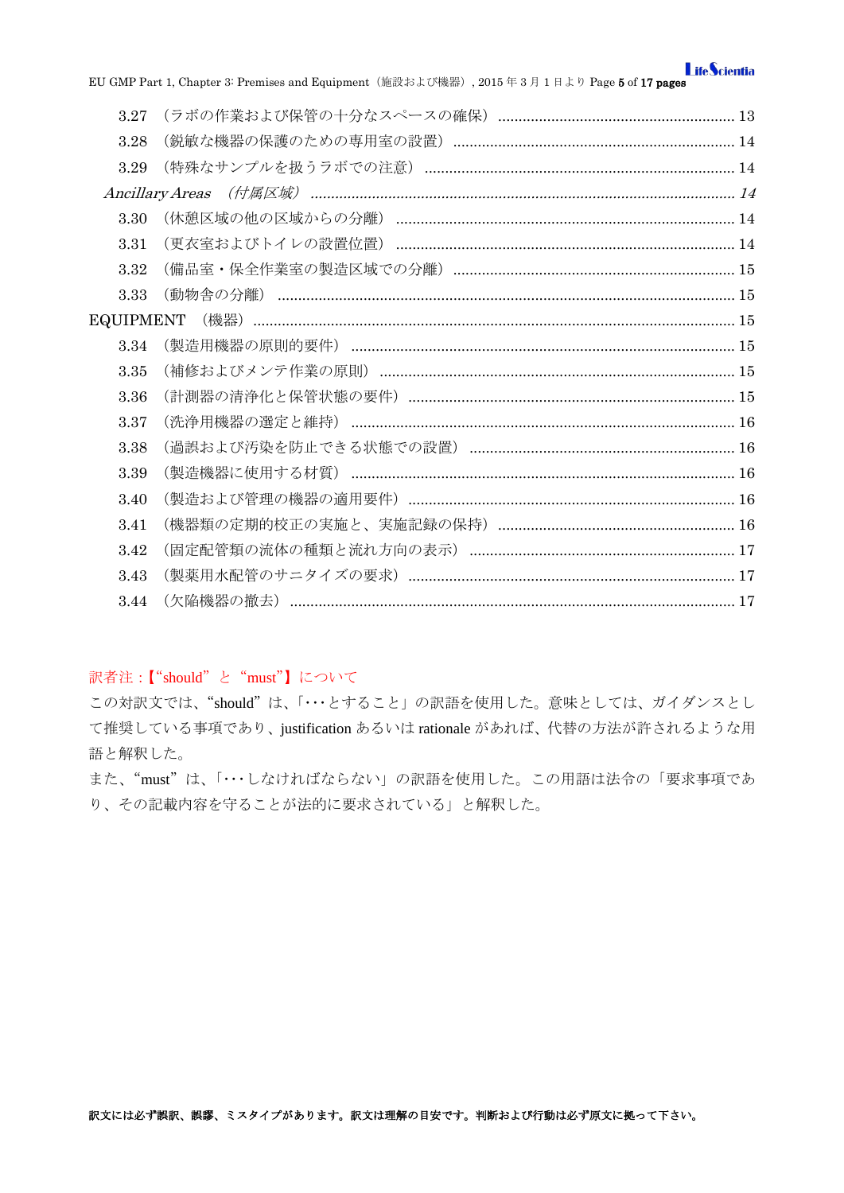EU GMP Part 1, Chapter 3: Premises and Equipment (施設および機器), 2015年3月1日より Page 5 of 17 pages

| 3.27             |  |
|------------------|--|
| 3.28             |  |
| 3.29             |  |
|                  |  |
| 3.30             |  |
| 3.31             |  |
| 3.32             |  |
| 3.33             |  |
| <b>EQUIPMENT</b> |  |
| 3.34             |  |
| 3.35             |  |
| 3.36             |  |
| 3.37             |  |
| 3.38             |  |
| 3.39             |  |
| 3.40             |  |
| 3.41             |  |
| 3.42             |  |
| 3.43             |  |
| 3.44             |  |
|                  |  |

# 訳者注:【"should" と "must"】について

この対訳文では、"should"は、「···とすること」の訳語を使用した。意味としては、ガイダンスとし て推奨している事項であり、justification あるいは rationale があれば、代替の方法が許されるような用 語と解釈した。

また、"must"は、「…しなければならない」の訳語を使用した。この用語は法令の「要求事項であ り、その記載内容を守ることが法的に要求されている」と解釈した。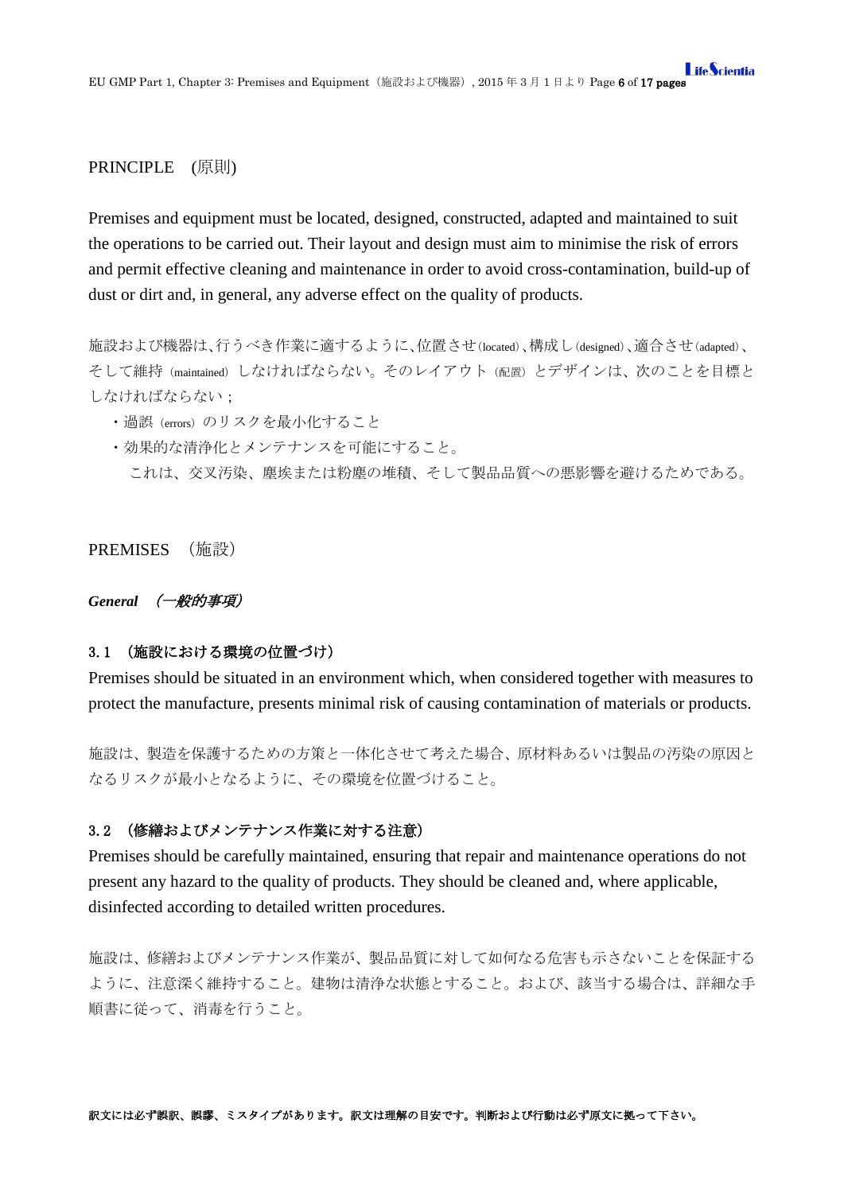### <span id="page-5-0"></span>PRINCIPLE (原則)

Premises and equipment must be located, designed, constructed, adapted and maintained to suit the operations to be carried out. Their layout and design must aim to minimise the risk of errors and permit effective cleaning and maintenance in order to avoid cross-contamination, build-up of dust or dirt and, in general, any adverse effect on the quality of products.

施設および機器は、行うべき作業に適するように、位置させ(located)、構成し(designed)、適合させ(adapted)、 そして維持(maintained)しなければならない。そのレイアウト(配置)とデザインは、次のことを目標と しなければならない;

- ・過誤(errors)のリスクを最小化すること
- ・効果的な清浄化とメンテナンスを可能にすること。
	- これは、交叉汚染、塵埃または粉塵の堆積、そして製品品質への悪影響を避けるためである。

### <span id="page-5-1"></span>PREMISES (施設)

#### <span id="page-5-2"></span>*General* (一般的事項)

### <span id="page-5-3"></span>3.1 (施設における環境の位置づけ)

Premises should be situated in an environment which, when considered together with measures to protect the manufacture, presents minimal risk of causing contamination of materials or products.

施設は、製造を保護するための方策と一体化させて考えた場合、原材料あるいは製品の汚染の原因と なるリスクが最小となるように、その環境を位置づけること。

### <span id="page-5-4"></span>3.2 (修繕およびメンテナンス作業に対する注意)

Premises should be carefully maintained, ensuring that repair and maintenance operations do not present any hazard to the quality of products. They should be cleaned and, where applicable, disinfected according to detailed written procedures.

施設は、修繕およびメンテナンス作業が、製品品質に対して如何なる危害も示さないことを保証する ように、注意深く維持すること。建物は清浄な状態とすること。および、該当する場合は、詳細な手 順書に従って、消毒を行うこと。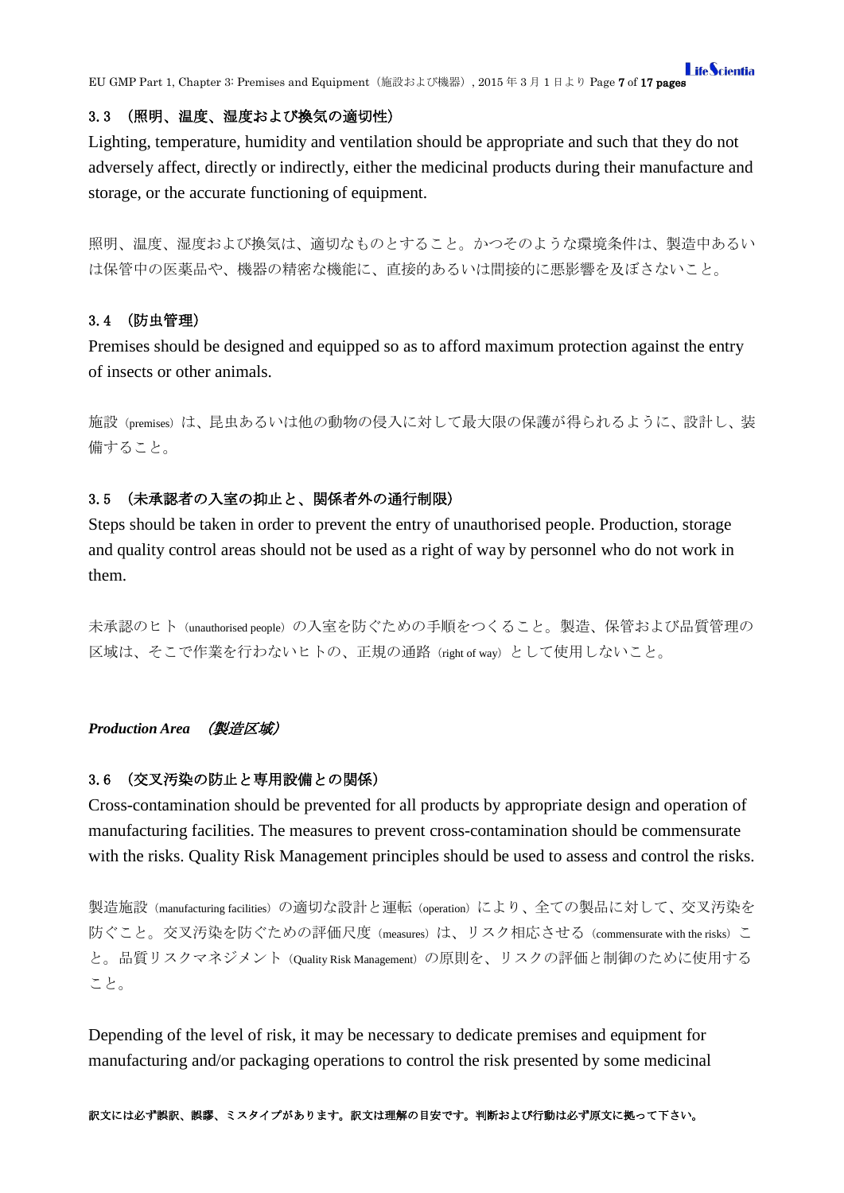### <span id="page-6-0"></span>3.3 (照明、温度、湿度および換気の適切性)

Lighting, temperature, humidity and ventilation should be appropriate and such that they do not adversely affect, directly or indirectly, either the medicinal products during their manufacture and storage, or the accurate functioning of equipment.

照明、温度、湿度および換気は、適切なものとすること。かつそのような環境条件は、製造中あるい は保管中の医薬品や、機器の精密な機能に、直接的あるいは間接的に悪影響を及ぼさないこと。

### <span id="page-6-1"></span>3.4 (防虫管理)

Premises should be designed and equipped so as to afford maximum protection against the entry of insects or other animals.

施設(premises)は、昆虫あるいは他の動物の侵入に対して最大限の保護が得られるように、設計し、装 備すること。

# <span id="page-6-2"></span>3.5 (未承認者の入室の抑止と、関係者外の通行制限)

Steps should be taken in order to prevent the entry of unauthorised people. Production, storage and quality control areas should not be used as a right of way by personnel who do not work in them.

未承認のヒト(unauthorised people)の入室を防ぐための手順をつくること。製造、保管および品質管理の 区域は、そこで作業を行わないヒトの、正規の通路(right of way)として使用しないこと。

### <span id="page-6-3"></span>*Production Area* (製造区域)

#### <span id="page-6-4"></span>3.6 (交叉汚染の防止と専用設備との関係)

Cross-contamination should be prevented for all products by appropriate design and operation of manufacturing facilities. The measures to prevent cross-contamination should be commensurate with the risks. Quality Risk Management principles should be used to assess and control the risks.

製造施設(manufacturing facilities)の適切な設計と運転(operation)により、全ての製品に対して、交叉汚染を 防ぐこと。交叉汚染を防ぐための評価尺度(measures)は、リスク相応させる(commensurate with the risks)こ と。品質リスクマネジメント(Quality Risk Management)の原則を、リスクの評価と制御のために使用する こと。

Depending of the level of risk, it may be necessary to dedicate premises and equipment for manufacturing and/or packaging operations to control the risk presented by some medicinal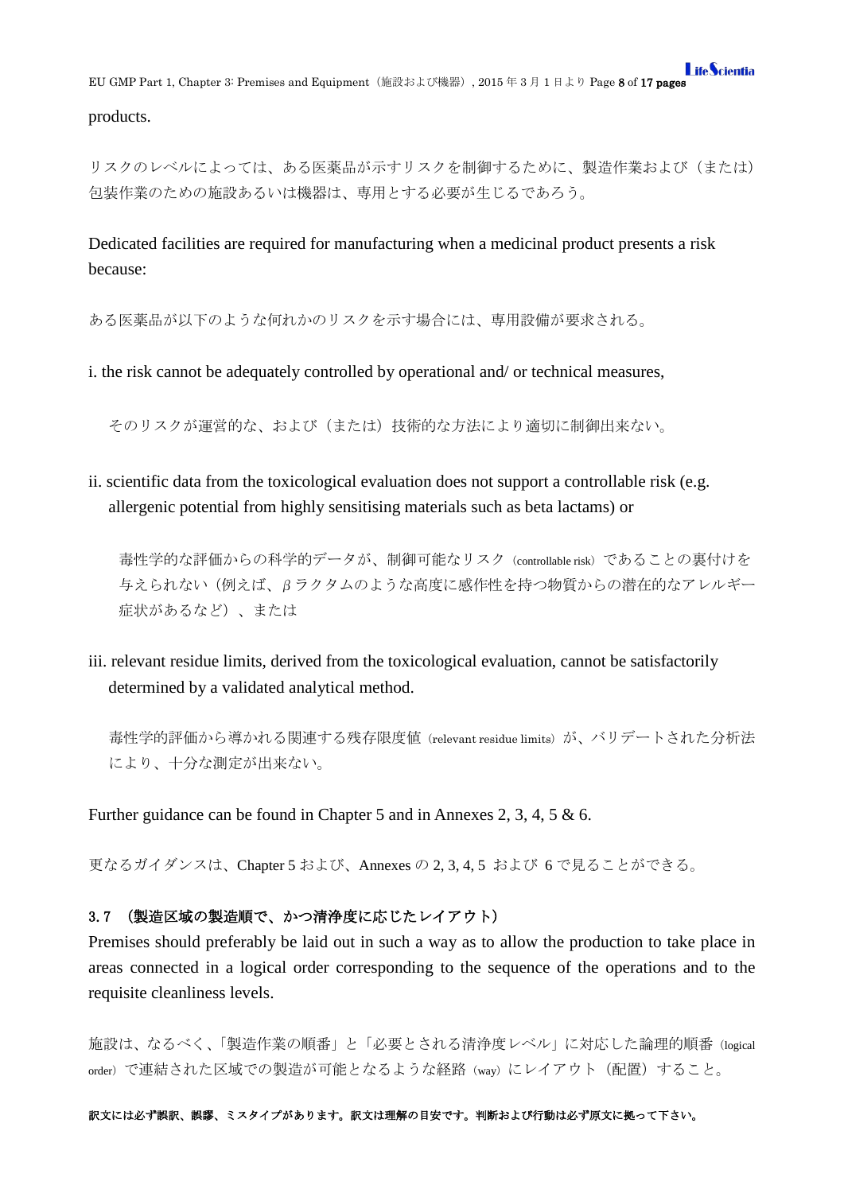products.

リスクのレベルによっては、ある医薬品が示すリスクを制御するために、製造作業および(または) 包装作業のための施設あるいは機器は、専用とする必要が生じるであろう。

Dedicated facilities are required for manufacturing when a medicinal product presents a risk because:

ある医薬品が以下のような何れかのリスクを示す場合には、専用設備が要求される。

i. the risk cannot be adequately controlled by operational and/ or technical measures,

そのリスクが運営的な、および(または)技術的な方法により適切に制御出来ない。

ii. scientific data from the toxicological evaluation does not support a controllable risk (e.g. allergenic potential from highly sensitising materials such as beta lactams) or

毒性学的な評価からの科学的データが、制御可能なリスク(controllable risk)であることの裏付けを 与えられない(例えば、βラクタムのような高度に感作性を持つ物質からの潜在的なアレルギー 症状があるなど)、または

iii. relevant residue limits, derived from the toxicological evaluation, cannot be satisfactorily determined by a validated analytical method.

毒性学的評価から導かれる関連する残存限度値 (relevant residue limits) が、バリデートされた分析法 により、十分な測定が出来ない。

Further guidance can be found in Chapter 5 and in Annexes 2, 3, 4, 5 & 6.

更なるガイダンスは、Chapter 5 および、Annexes の 2, 3, 4, 5 および 6 で見ることができる。

### <span id="page-7-0"></span>3.7 (製造区域の製造順で、かつ清浄度に応じたレイアウト)

Premises should preferably be laid out in such a way as to allow the production to take place in areas connected in a logical order corresponding to the sequence of the operations and to the requisite cleanliness levels.

施設は、なるべく、「製造作業の順番」と「必要とされる清浄度レベル」に対応した論理的順番(logical order)で連結された区域での製造が可能となるような経路(way)にレイアウト(配置)すること。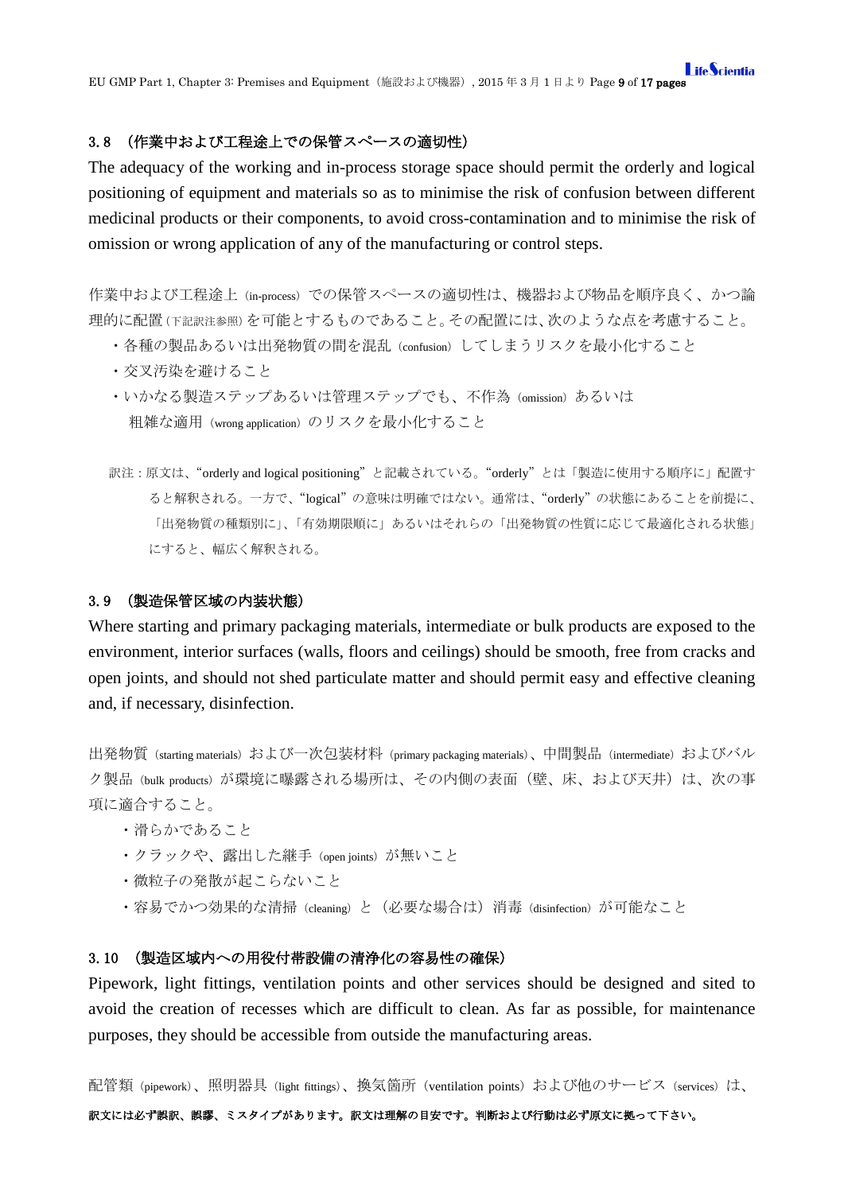### <span id="page-8-0"></span>3.8 (作業中および工程途上での保管スペースの適切性)

The adequacy of the working and in-process storage space should permit the orderly and logical positioning of equipment and materials so as to minimise the risk of confusion between different medicinal products or their components, to avoid cross-contamination and to minimise the risk of omission or wrong application of any of the manufacturing or control steps.

作業中および工程途上(in-process)での保管スペースの適切性は、機器および物品を順序良く、かつ論 理的に配置(下記訳注参照)を可能とするものであること。その配置には、次のような点を考慮すること。

- ・各種の製品あるいは出発物質の間を混乱(confusion)してしまうリスクを最小化すること
- ・交叉汚染を避けること
- · いかなる製造ステップあるいは管理ステップでも、不作為 (omission) あるいは 粗雑な適用(wrong application)のリスクを最小化すること
- 訳注:原文は、"orderly and logical positioning"と記載されている。"orderly"とは「製造に使用する順序に」配置す ると解釈される。一方で、"logical"の意味は明確ではない。通常は、"orderly"の状態にあることを前提に、 「出発物質の種類別に」、「有効期限順に」あるいはそれらの「出発物質の性質に応じて最適化される状態」 にすると、幅広く解釈される。

#### <span id="page-8-1"></span>3.9 (製造保管区域の内装状態)

Where starting and primary packaging materials, intermediate or bulk products are exposed to the environment, interior surfaces (walls, floors and ceilings) should be smooth, free from cracks and open joints, and should not shed particulate matter and should permit easy and effective cleaning and, if necessary, disinfection.

出発物質 (starting materials) および一次包装材料 (primary packaging materials)、中間製品 (intermediate) およびバル ク製品(bulk products)が環境に曝露される場所は、その内側の表面(壁、床、および天井)は、次の事 項に適合すること。

- ・滑らかであること
- ・クラックや、露出した継手 (open joints) が無いこと
- ・微粒子の発散が起こらないこと
- ・容易でかつ効果的な清掃 (cleaning) と(必要な場合は)消毒 (disinfection) が可能なこと

### <span id="page-8-2"></span>3.10 (製造区域内への用役付帯設備の清浄化の容易性の確保)

Pipework, light fittings, ventilation points and other services should be designed and sited to avoid the creation of recesses which are difficult to clean. As far as possible, for maintenance purposes, they should be accessible from outside the manufacturing areas.

配管類(pipework)、照明器具(light fittings)、換気箇所 (ventilation points) および他のサービス (services) は、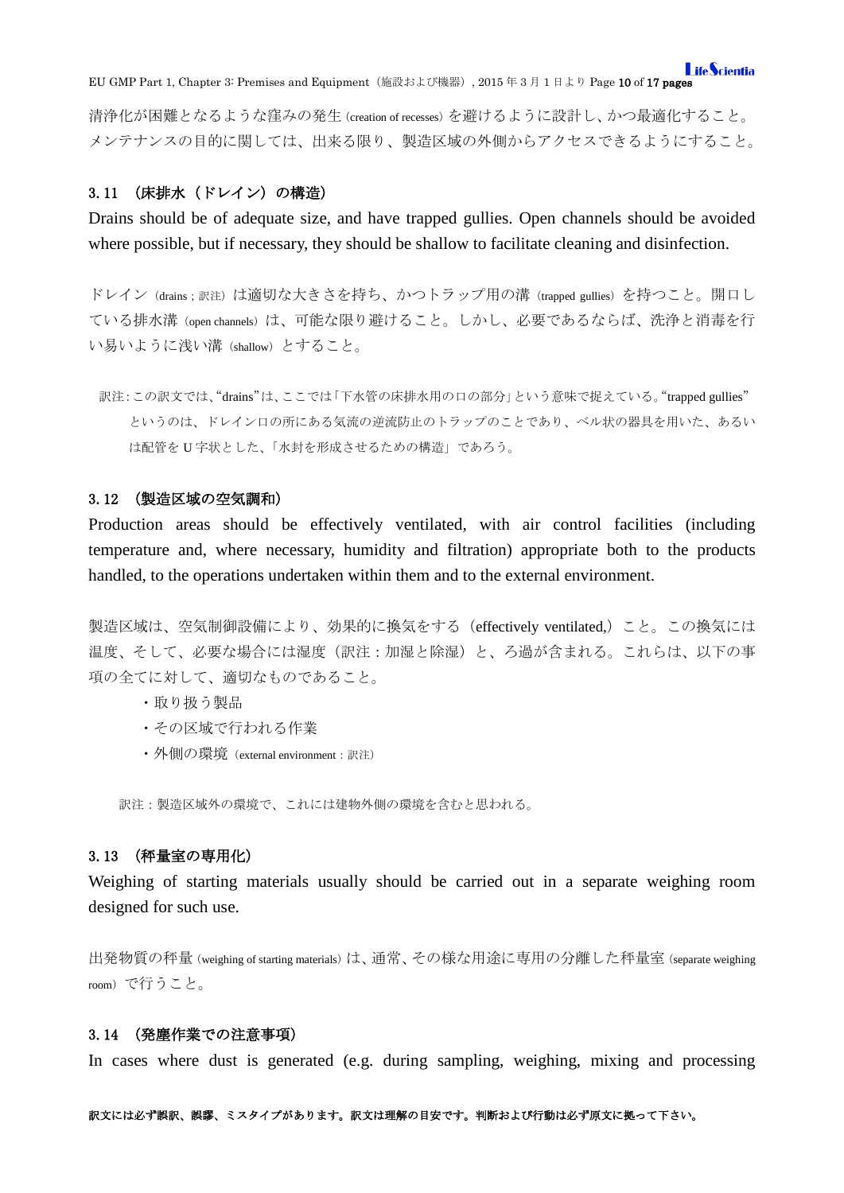**LifeScientia** EU GMP Part 1, Chapter 3: Premises and Equipment(施設および機器), 2015 年 3 月 1 日より Page 10 of 17 pages

清浄化が困難となるような窪みの発生(creation of recesses)を避けるように設計し、かつ最適化すること。 メンテナンスの目的に関しては、出来る限り、製造区域の外側からアクセスできるようにすること。

### <span id="page-9-0"></span>3.11 (床排水(ドレイン)の構造)

Drains should be of adequate size, and have trapped gullies. Open channels should be avoided where possible, but if necessary, they should be shallow to facilitate cleaning and disinfection.

ドレイン (drains;訳注)は適切な大きさを持ち、かつトラップ用の溝 (trapped gullies) を持つこと。開口し ている排水溝 (open channels) は、可能な限り避けること。しかし、必要であるならば、洗浄と消毒を行 い易いように浅い溝(shallow)とすること。

訳注:この訳文では、"drains"は、ここでは「下水管の床排水用の口の部分」という意味で捉えている。"trapped gullies" というのは、ドレイン口の所にある気流の逆流防止のトラップのことであり、ベル状の器具を用いた、あるい は配管を U 字状とした、「水封を形成させるための構造」であろう。

### <span id="page-9-1"></span>3.12 (製造区域の空気調和)

Production areas should be effectively ventilated, with air control facilities (including temperature and, where necessary, humidity and filtration) appropriate both to the products handled, to the operations undertaken within them and to the external environment.

製造区域は、空気制御設備により、効果的に換気をする(effectively ventilated,)こと。この換気には 温度、そして、必要な場合には湿度(訳注:加湿と除湿)と、ろ過が含まれる。これらは、以下の事 項の全てに対して、適切なものであること。

- ・取り扱う製品
- ・その区域で行われる作業
- ・外側の環境(external environment:訳注)

訳注:製造区域外の環境で、これには建物外側の環境を含むと思われる。

### <span id="page-9-2"></span>3.13 (秤量室の専用化)

Weighing of starting materials usually should be carried out in a separate weighing room designed for such use.

出発物質の秤量(weighing of starting materials)は、通常、その様な用途に専用の分離した秤量室(separate weighing room)で行うこと。

#### <span id="page-9-3"></span>3.14 (発塵作業での注意事項)

In cases where dust is generated (e.g. during sampling, weighing, mixing and processing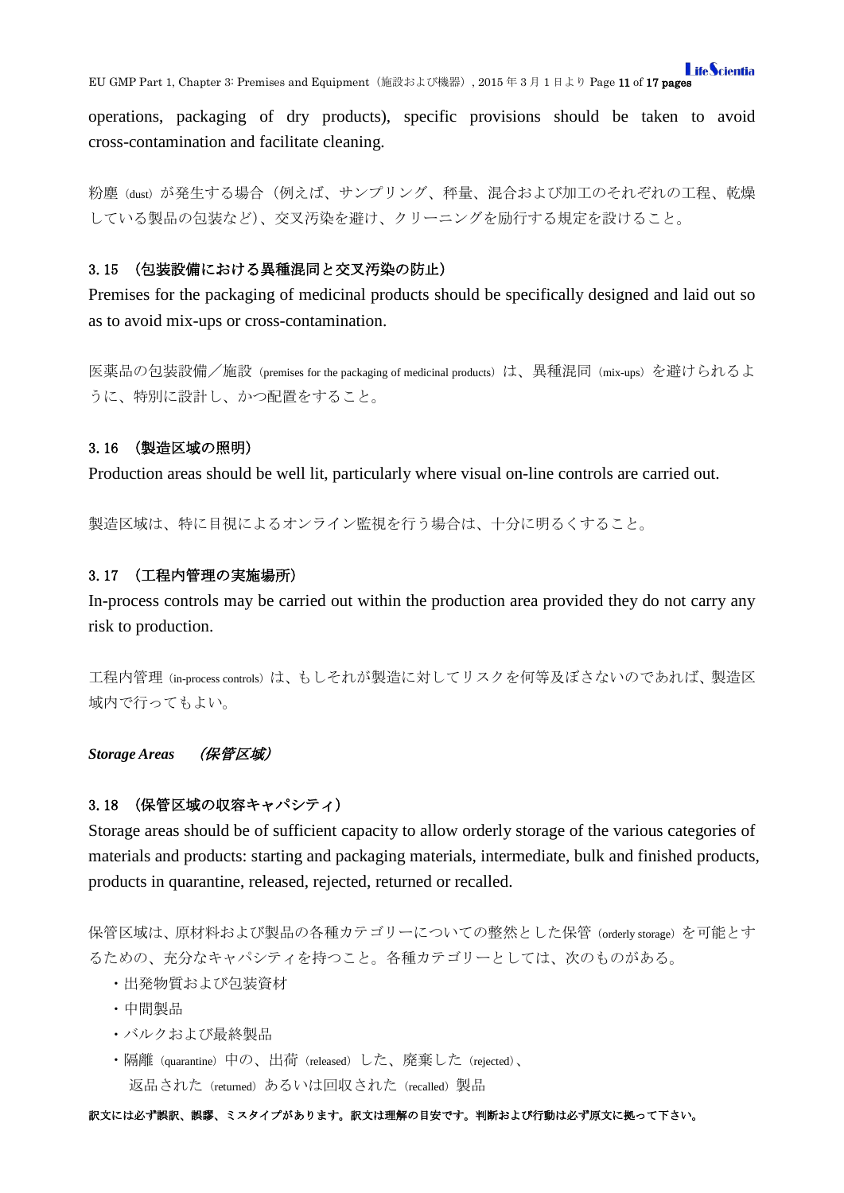EU GMP Part 1, Chapter 3: Premises and Equipment(施設および機器), 2015 年 3 月 1 日より Page 11 of 17 pages

operations, packaging of dry products), specific provisions should be taken to avoid cross-contamination and facilitate cleaning.

粉塵(dust)が発生する場合(例えば、サンプリング、秤量、混合および加工のそれぞれの工程、乾燥 している製品の包装など)、交叉汚染を避け、クリーニングを励行する規定を設けること。

### <span id="page-10-0"></span>3.15 (包装設備における異種混同と交叉汚染の防止)

Premises for the packaging of medicinal products should be specifically designed and laid out so as to avoid mix-ups or cross-contamination.

医薬品の包装設備/施設 (premises for the packaging of medicinal products) は、異種混同 (mix-ups) を避けられるよ うに、特別に設計し、かつ配置をすること。

### <span id="page-10-1"></span>3.16 (製造区域の照明)

Production areas should be well lit, particularly where visual on-line controls are carried out.

製造区域は、特に目視によるオンライン監視を行う場合は、十分に明るくすること。

#### <span id="page-10-2"></span>3.17 (工程内管理の実施場所)

In-process controls may be carried out within the production area provided they do not carry any risk to production.

工程内管理(in-process controls)は、もしそれが製造に対してリスクを何等及ぼさないのであれば、製造区 域内で行ってもよい。

### <span id="page-10-3"></span>*Storage Areas* (保管区域)

### <span id="page-10-4"></span>3.18 (保管区域の収容キャパシティ)

Storage areas should be of sufficient capacity to allow orderly storage of the various categories of materials and products: starting and packaging materials, intermediate, bulk and finished products, products in quarantine, released, rejected, returned or recalled.

保管区域は、原材料および製品の各種カテゴリーについての整然とした保管(orderly storage)を可能とす るための、充分なキャパシティを持つこと。各種カテゴリーとしては、次のものがある。

- ・出発物質および包装資材
- ・中間製品
- ・バルクおよび最終製品
- ・隔離(quarantine)中の、出荷(released)した、廃棄した(rejected)、 返品された (returned) あるいは回収された (recalled) 製品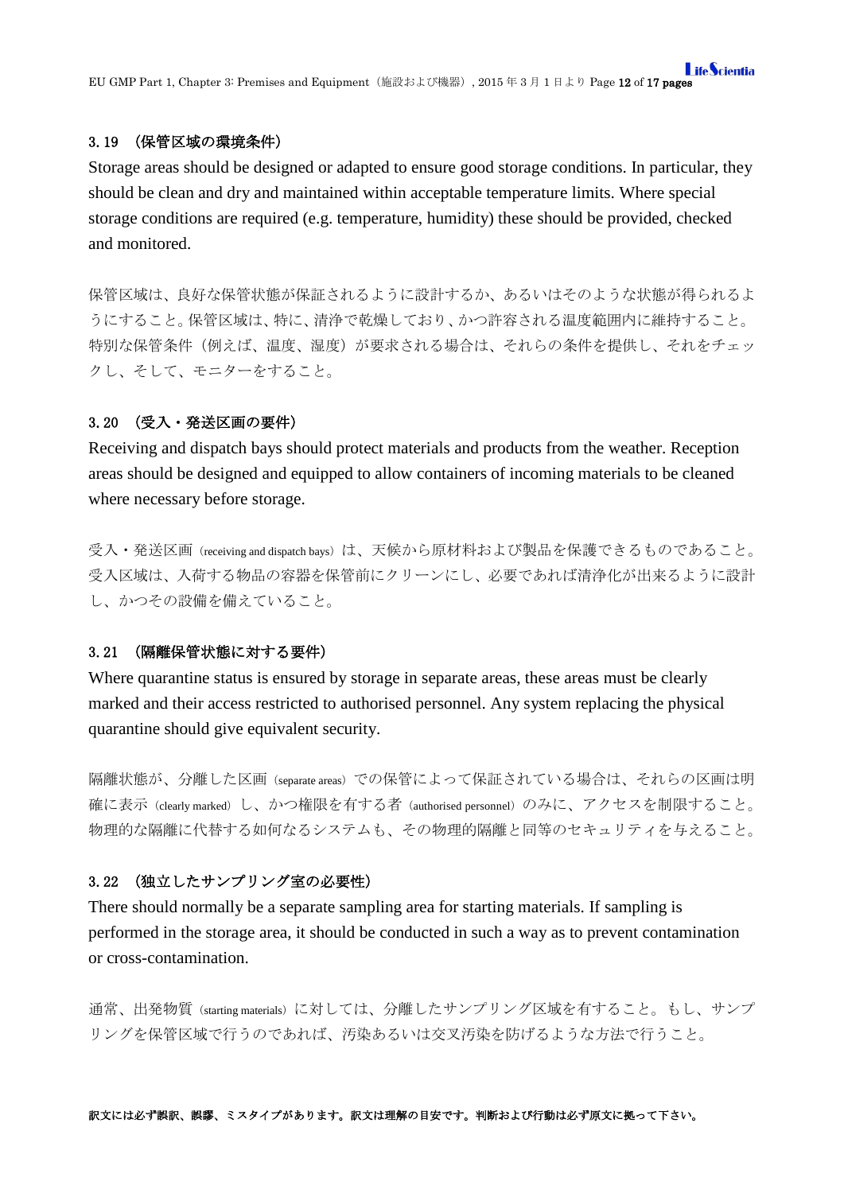### <span id="page-11-0"></span>3.19 (保管区域の環境条件)

Storage areas should be designed or adapted to ensure good storage conditions. In particular, they should be clean and dry and maintained within acceptable temperature limits. Where special storage conditions are required (e.g. temperature, humidity) these should be provided, checked and monitored.

保管区域は、良好な保管状態が保証されるように設計するか、あるいはそのような状態が得られるよ うにすること。保管区域は、特に、清浄で乾燥しており、かつ許容される温度範囲内に維持すること。 特別な保管条件(例えば、温度、湿度)が要求される場合は、それらの条件を提供し、それをチェッ クし、そして、モニターをすること。

#### <span id="page-11-1"></span>3.20 (受入・発送区画の要件)

Receiving and dispatch bays should protect materials and products from the weather. Reception areas should be designed and equipped to allow containers of incoming materials to be cleaned where necessary before storage.

受入·発送区画 (receiving and dispatch bays) は、天候から原材料および製品を保護できるものであること。 受入区域は、入荷する物品の容器を保管前にクリーンにし、必要であれば清浄化が出来るように設計 し、かつその設備を備えていること。

### <span id="page-11-2"></span>3.21 (隔離保管状態に対する要件)

Where quarantine status is ensured by storage in separate areas, these areas must be clearly marked and their access restricted to authorised personnel. Any system replacing the physical quarantine should give equivalent security.

隔離状態が、分離した区画(separate areas)での保管によって保証されている場合は、それらの区画は明 確に表示(clearly marked)し、かつ権限を有する者(authorised personnel)のみに、アクセスを制限すること。 物理的な隔離に代替する如何なるシステムも、その物理的隔離と同等のセキュリティを与えること。

### <span id="page-11-3"></span>3.22 (独立したサンプリング室の必要性)

There should normally be a separate sampling area for starting materials. If sampling is performed in the storage area, it should be conducted in such a way as to prevent contamination or cross-contamination.

通常、出発物質(starting materials)に対しては、分離したサンプリング区域を有すること。もし、サンプ リングを保管区域で行うのであれば、汚染あるいは交叉汚染を防げるような方法で行うこと。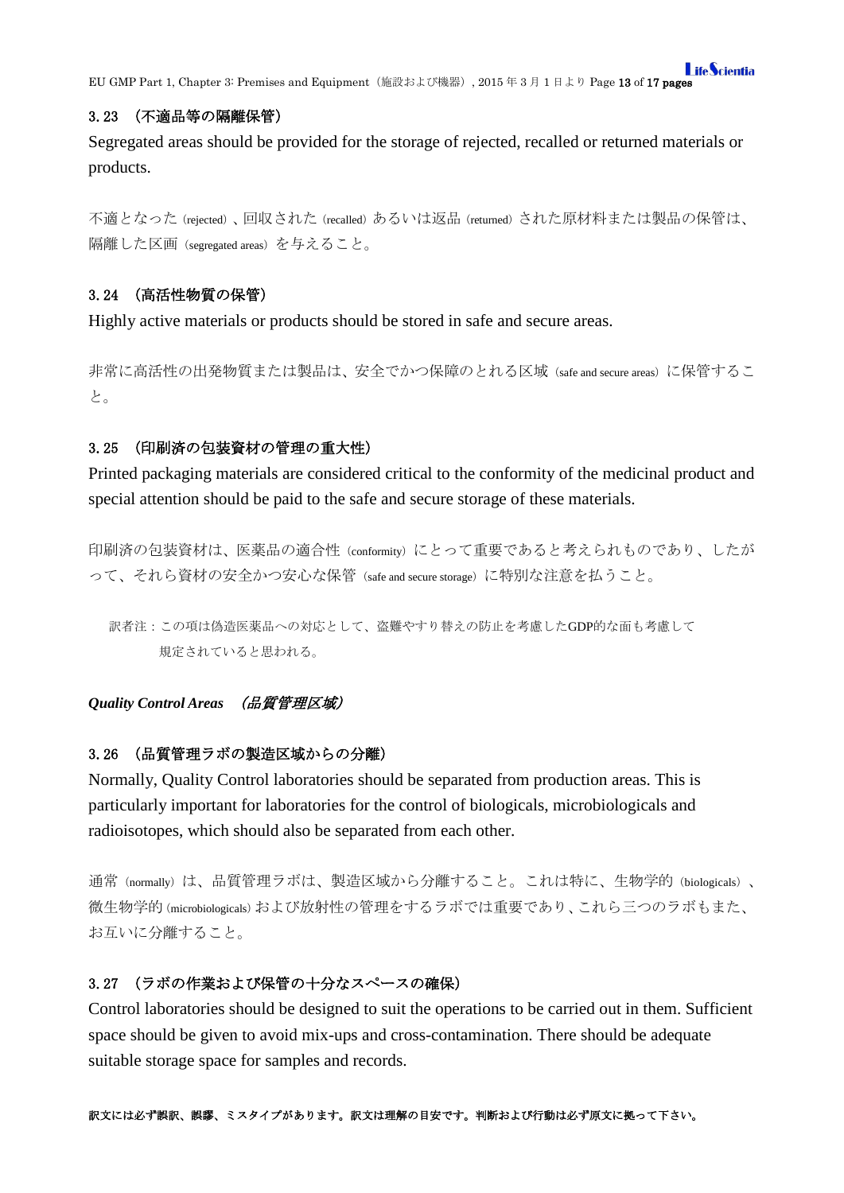**I** ifeScientia EU GMP Part 1, Chapter 3: Premises and Equipment(施設および機器), 2015 年 3 月 1 日より Page 13 of 17 pages

### <span id="page-12-0"></span>3.23 (不適品等の隔離保管)

Segregated areas should be provided for the storage of rejected, recalled or returned materials or products.

不適となった(rejected)、回収された(recalled)あるいは返品(returned)された原材料または製品の保管は、 隔離した区画(segregated areas)を与えること。

# <span id="page-12-1"></span>3.24 (高活性物質の保管)

Highly active materials or products should be stored in safe and secure areas.

非常に高活性の出発物質または製品は、安全でかつ保障のとれる区域(safe and secure areas)に保管するこ と。

# <span id="page-12-2"></span>3.25 (印刷済の包装資材の管理の重大性)

Printed packaging materials are considered critical to the conformity of the medicinal product and special attention should be paid to the safe and secure storage of these materials.

印刷済の包装資材は、医薬品の適合性 (conformity)にとって重要であると考えられものであり、したが って、それら資材の安全かつ安心な保管(safe and secure storage)に特別な注意を払うこと。

訳者注:この項は偽造医薬品への対応として、盗難やすり替えの防止を考慮したGDP的な面も考慮して 規定されていると思われる。

# <span id="page-12-3"></span>*Quality Control Areas* (品質管理区域)

# <span id="page-12-4"></span>3.26 (品質管理ラボの製造区域からの分離)

Normally, Quality Control laboratories should be separated from production areas. This is particularly important for laboratories for the control of biologicals, microbiologicals and radioisotopes, which should also be separated from each other.

通常(normally)は、品質管理ラボは、製造区域から分離すること。これは特に、生物学的(biologicals)、 微生物学的(microbiologicals)および放射性の管理をするラボでは重要であり、これら三つのラボもまた、 お互いに分離すること。

# <span id="page-12-5"></span>3.27 (ラボの作業および保管の十分なスペースの確保)

Control laboratories should be designed to suit the operations to be carried out in them. Sufficient space should be given to avoid mix-ups and cross-contamination. There should be adequate suitable storage space for samples and records.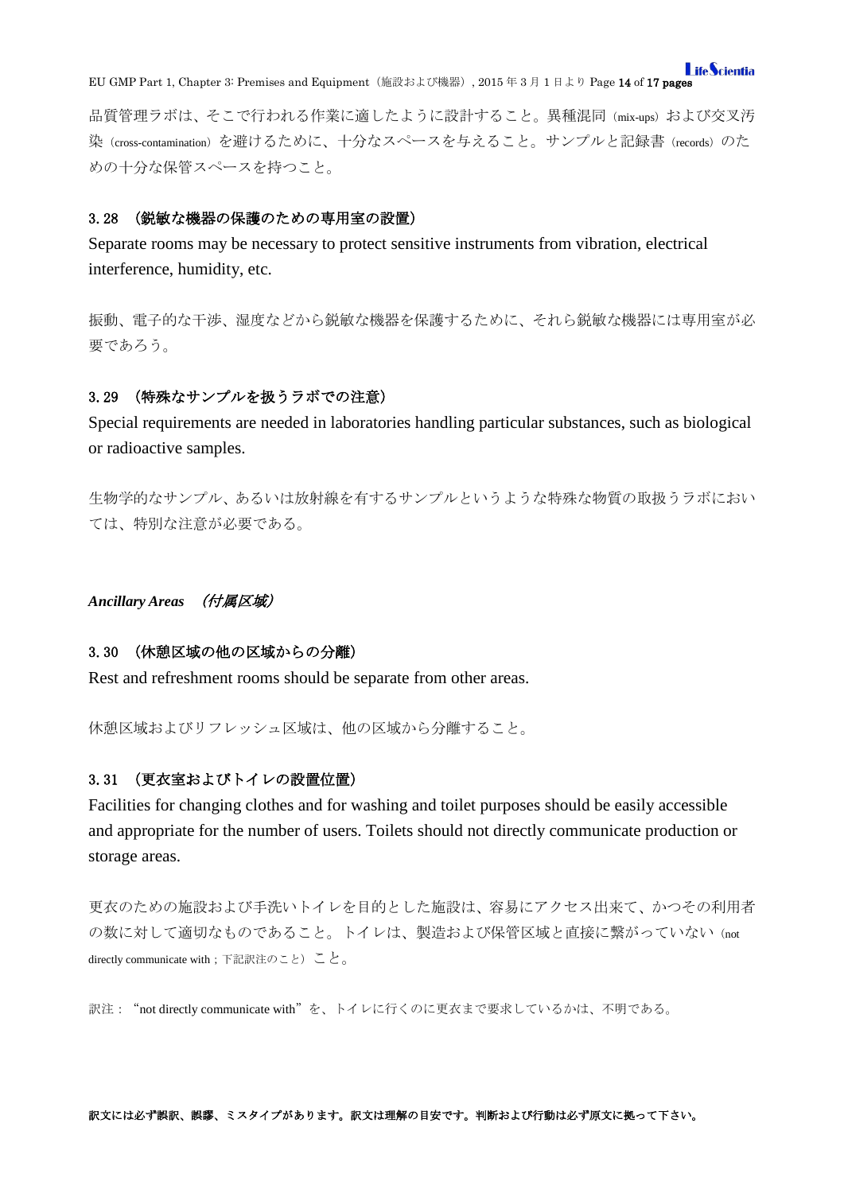**LifeScientia** EU GMP Part 1, Chapter 3: Premises and Equipment(施設および機器), 2015 年 3 月 1 日より Page 14 of 17 pages

品質管理ラボは、そこで行われる作業に適したように設計すること。異種混同(mix-ups)および交叉汚 染(cross-contamination)を避けるために、十分なスペースを与えること。サンプルと記録書(records)のた めの十分な保管スペースを持つこと。

#### <span id="page-13-0"></span>3.28 (鋭敏な機器の保護のための専用室の設置)

Separate rooms may be necessary to protect sensitive instruments from vibration, electrical interference, humidity, etc.

振動、電子的な干渉、湿度などから鋭敏な機器を保護するために、それら鋭敏な機器には専用室が必 要であろう。

### <span id="page-13-1"></span>3.29 (特殊なサンプルを扱うラボでの注意)

Special requirements are needed in laboratories handling particular substances, such as biological or radioactive samples.

生物学的なサンプル、あるいは放射線を有するサンプルというような特殊な物質の取扱うラボにおい ては、特別な注意が必要である。

<span id="page-13-2"></span>*Ancillary Areas* (付属区域)

#### <span id="page-13-3"></span>3.30 (休憩区域の他の区域からの分離)

Rest and refreshment rooms should be separate from other areas.

休憩区域およびリフレッシュ区域は、他の区域から分離すること。

### <span id="page-13-4"></span>3.31 (更衣室およびトイレの設置位置)

Facilities for changing clothes and for washing and toilet purposes should be easily accessible and appropriate for the number of users. Toilets should not directly communicate production or storage areas.

更衣のための施設および手洗いトイレを目的とした施設は、容易にアクセス出来て、かつその利用者 の数に対して適切なものであること。トイレは、製造および保管区域と直接に繋がっていない (not directly communicate with;下記訳注のこと)こと。

訳注:"not directly communicate with"を、トイレに行くのに更衣まで要求しているかは、不明である。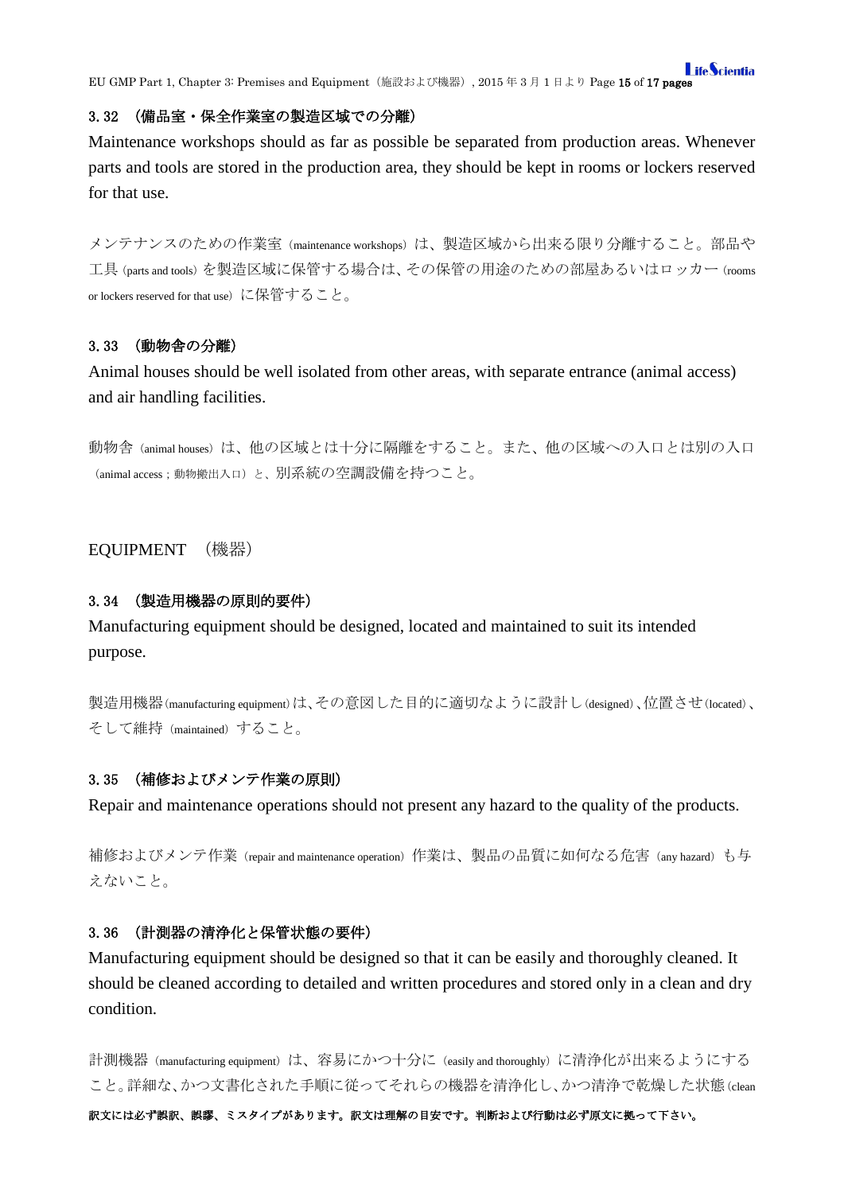### <span id="page-14-0"></span>3.32 (備品室・保全作業室の製造区域での分離)

Maintenance workshops should as far as possible be separated from production areas. Whenever parts and tools are stored in the production area, they should be kept in rooms or lockers reserved for that use.

メンテナンスのための作業室 (maintenance workshops) は、製造区域から出来る限り分離すること。部品や 工具(parts and tools)を製造区域に保管する場合は、その保管の用途のための部屋あるいはロッカー(rooms or lockers reserved for that use)に保管すること。

### <span id="page-14-1"></span>3.33 (動物舎の分離)

Animal houses should be well isolated from other areas, with separate entrance (animal access) and air handling facilities.

動物舎 (animal houses) は、他の区域とは十分に隔離をすること。また、他の区域への入口とは別の入口 (animal access;動物搬出入口)と、別系統の空調設備を持つこと。

# <span id="page-14-2"></span>EQUIPMENT (機器)

#### <span id="page-14-3"></span>3.34 (製造用機器の原則的要件)

Manufacturing equipment should be designed, located and maintained to suit its intended purpose.

製造用機器(manufacturing equipment)は、その意図した目的に適切なように設計し(designed)、位置させ(located)、 そして維持(maintained)すること。

### <span id="page-14-4"></span>3.35 (補修およびメンテ作業の原則)

Repair and maintenance operations should not present any hazard to the quality of the products.

補修およびメンテ作業(repair and maintenance operation)作業は、製品の品質に如何なる危害(any hazard)も与 えないこと。

#### <span id="page-14-5"></span>3.36 (計測器の清浄化と保管状態の要件)

Manufacturing equipment should be designed so that it can be easily and thoroughly cleaned. It should be cleaned according to detailed and written procedures and stored only in a clean and dry condition.

計測機器 (manufacturing equipment) は、容易にかつ十分に (easily and thoroughly) に清浄化が出来るようにする こと。詳細な、かつ文書化された手順に従ってそれらの機器を清浄化し、かつ清浄で乾燥した状態(clean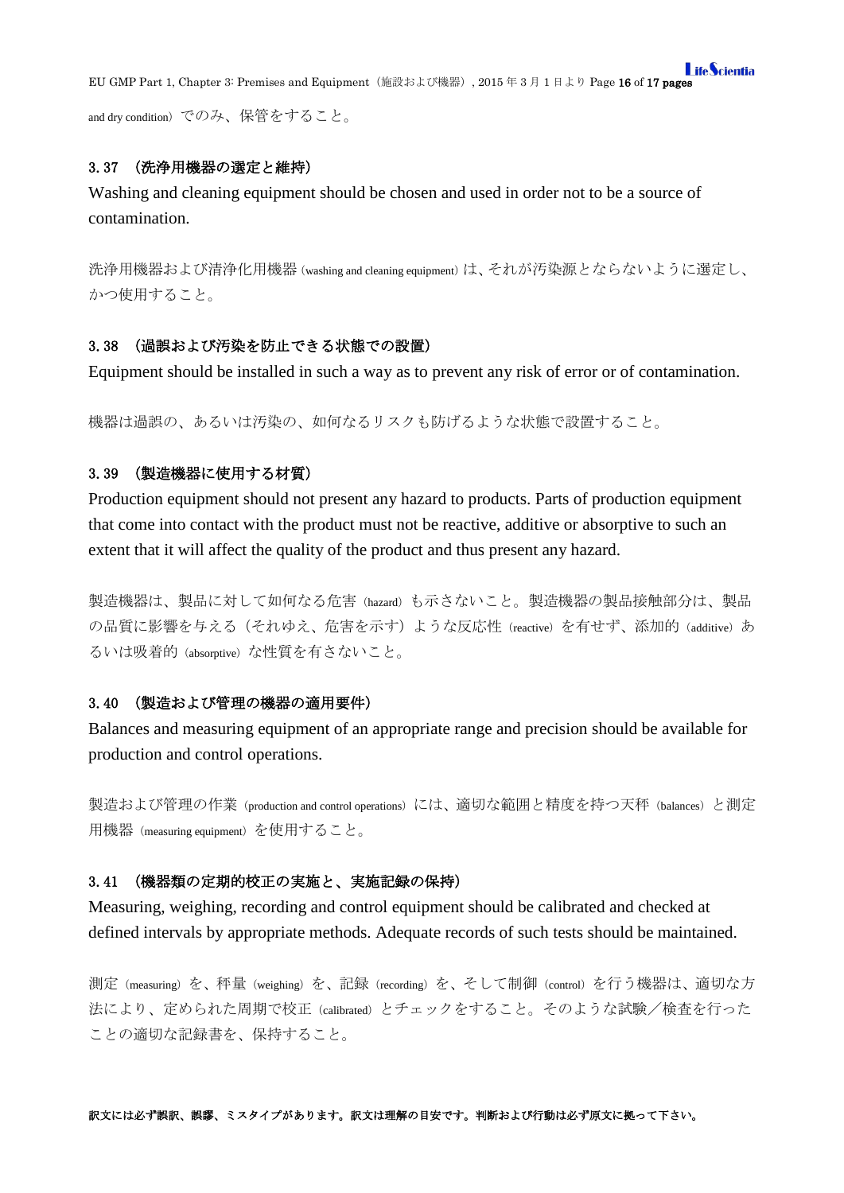**I** ifeScientia EU GMP Part 1, Chapter 3: Premises and Equipment(施設および機器), 2015 年 3 月 1 日より Page 16 of 17 pages

and dry condition)でのみ、保管をすること。

### <span id="page-15-0"></span>3.37 (洗浄用機器の選定と維持)

Washing and cleaning equipment should be chosen and used in order not to be a source of contamination.

洗浄用機器および清浄化用機器(washing and cleaning equipment)は、それが汚染源とならないように選定し、 かつ使用すること。

#### <span id="page-15-1"></span>3.38 (過誤および汚染を防止できる状態での設置)

Equipment should be installed in such a way as to prevent any risk of error or of contamination.

機器は過誤の、あるいは汚染の、如何なるリスクも防げるような状態で設置すること。

## <span id="page-15-2"></span>3.39 (製造機器に使用する材質)

Production equipment should not present any hazard to products. Parts of production equipment that come into contact with the product must not be reactive, additive or absorptive to such an extent that it will affect the quality of the product and thus present any hazard.

製造機器は、製品に対して如何なる危害(hazard)も示さないこと。製造機器の製品接触部分は、製品 の品質に影響を与える(それゆえ、危害を示す)ような反応性 (reactive) を有せず、添加的 (additive) あ るいは吸着的 (absorptive) な性質を有さないこと。

# <span id="page-15-3"></span>3.40 (製造および管理の機器の適用要件)

Balances and measuring equipment of an appropriate range and precision should be available for production and control operations.

製造および管理の作業(production and control operations)には、適切な範囲と精度を持つ天秤(balances)と測定 用機器(measuring equipment)を使用すること。

### <span id="page-15-4"></span>3.41 (機器類の定期的校正の実施と、実施記録の保持)

Measuring, weighing, recording and control equipment should be calibrated and checked at defined intervals by appropriate methods. Adequate records of such tests should be maintained.

測定(measuring)を、秤量(weighing)を、記録(recording)を、そして制御(control)を行う機器は、適切な方 法により、定められた周期で校正(calibrated)とチェックをすること。そのような試験/検査を行った ことの適切な記録書を、保持すること。